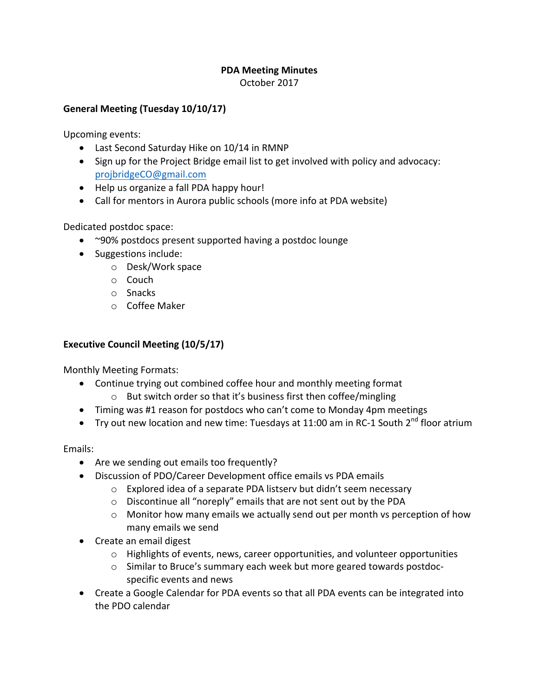## **PDA Meeting Minutes**

October 2017

## General Meeting (Tuesday 10/10/17)

Upcoming events:

- Last Second Saturday Hike on 10/14 in RMNP
- Sign up for the Project Bridge email list to get involved with policy and advocacy: projbridgeCO@gmail.com
- Help us organize a fall PDA happy hour!
- Call for mentors in Aurora public schools (more info at PDA website)

Dedicated postdoc space:

- ~90% postdocs present supported having a postdoc lounge
- Suggestions include:
	- o Desk/Work space
	- o Couch
	- o Snacks
	- o Coffee Maker

## **Executive Council Meeting (10/5/17)**

Monthly Meeting Formats:

- Continue trying out combined coffee hour and monthly meeting format
	- $\circ$  But switch order so that it's business first then coffee/mingling
- Timing was #1 reason for postdocs who can't come to Monday 4pm meetings
- Try out new location and new time: Tuesdays at 11:00 am in RC-1 South  $2^{nd}$  floor atrium

## Emails:

- Are we sending out emails too frequently?
- Discussion of PDO/Career Development office emails vs PDA emails
	- $\circ$  Explored idea of a separate PDA listserv but didn't seem necessary
	- $\circ$  Discontinue all "noreply" emails that are not sent out by the PDA
	- $\circ$  Monitor how many emails we actually send out per month vs perception of how many emails we send
- Create an email digest
	- $\circ$  Highlights of events, news, career opportunities, and volunteer opportunities
	- $\circ$  Similar to Bruce's summary each week but more geared towards postdocspecific events and news
- Create a Google Calendar for PDA events so that all PDA events can be integrated into the PDO calendar